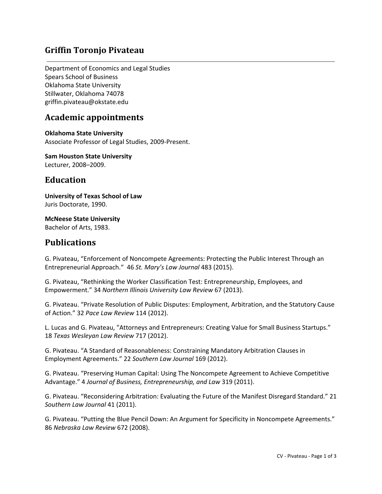# **Griffin Toronjo Pivateau**

Department of Economics and Legal Studies Spears School of Business Oklahoma State University Stillwater, Oklahoma 74078 griffin.pivateau@okstate.edu

### **Academic appointments**

**Oklahoma State University** Associate Professor of Legal Studies, 2009‐Present.

**Sam Houston State University** Lecturer, 2008–2009.

#### **Education**

**University of Texas School of Law** Juris Doctorate, 1990.

**McNeese State University** Bachelor of Arts, 1983.

#### **Publications**

G. Pivateau, "Enforcement of Noncompete Agreements: Protecting the Public Interest Through an Entrepreneurial Approach." 46 *St. Mary's Law Journal* 483 (2015).

G. Pivateau, "Rethinking the Worker Classification Test: Entrepreneurship, Employees, and Empowerment." 34 *Northern Illinois University Law Review* 67 (2013).

G. Pivateau. "Private Resolution of Public Disputes: Employment, Arbitration, and the Statutory Cause of Action." 32 *Pace Law Review* 114 (2012).

L. Lucas and G. Pivateau, "Attorneys and Entrepreneurs: Creating Value for Small Business Startups." 18 *Texas Wesleyan Law Review* 717 (2012).

G. Pivateau. "A Standard of Reasonableness: Constraining Mandatory Arbitration Clauses in Employment Agreements." 22 *Southern Law Journal* 169 (2012).

G. Pivateau. "Preserving Human Capital: Using The Noncompete Agreement to Achieve Competitive Advantage." 4 *Journal of Business, Entrepreneurship, and Law* 319 (2011).

G. Pivateau. "Reconsidering Arbitration: Evaluating the Future of the Manifest Disregard Standard." 21 *Southern Law Journal* 41 (2011).

G. Pivateau. "Putting the Blue Pencil Down: An Argument for Specificity in Noncompete Agreements." 86 *Nebraska Law Review* 672 (2008).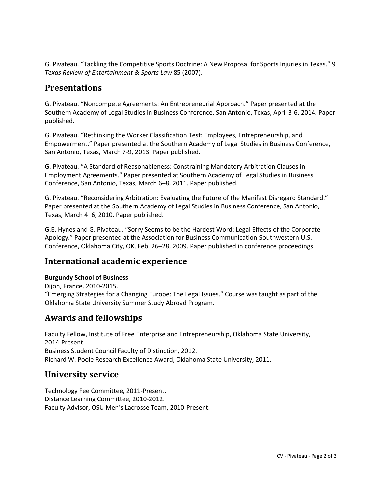G. Pivateau. "Tackling the Competitive Sports Doctrine: A New Proposal for Sports Injuries in Texas." 9 *Texas Review of Entertainment & Sports Law* 85 (2007).

### **Presentations**

G. Pivateau. "Noncompete Agreements: An Entrepreneurial Approach." Paper presented at the Southern Academy of Legal Studies in Business Conference, San Antonio, Texas, April 3‐6, 2014. Paper published.

G. Pivateau. "Rethinking the Worker Classification Test: Employees, Entrepreneurship, and Empowerment." Paper presented at the Southern Academy of Legal Studies in Business Conference, San Antonio, Texas, March 7‐9, 2013. Paper published.

G. Pivateau. "A Standard of Reasonableness: Constraining Mandatory Arbitration Clauses in Employment Agreements." Paper presented at Southern Academy of Legal Studies in Business Conference, San Antonio, Texas, March 6–8, 2011. Paper published.

G. Pivateau. "Reconsidering Arbitration: Evaluating the Future of the Manifest Disregard Standard." Paper presented at the Southern Academy of Legal Studies in Business Conference, San Antonio, Texas, March 4–6, 2010. Paper published.

G.E. Hynes and G. Pivateau. "Sorry Seems to be the Hardest Word: Legal Effects of the Corporate Apology." Paper presented at the Association for Business Communication‐Southwestern U.S. Conference, Oklahoma City, OK, Feb. 26–28, 2009. Paper published in conference proceedings.

# **International academic experience**

#### **Burgundy School of Business**

Dijon, France, 2010‐2015. "Emerging Strategies for a Changing Europe: The Legal Issues." Course was taught as part of the Oklahoma State University Summer Study Abroad Program.

## **Awards and fellowships**

Faculty Fellow, Institute of Free Enterprise and Entrepreneurship, Oklahoma State University, 2014‐Present. Business Student Council Faculty of Distinction, 2012. Richard W. Poole Research Excellence Award, Oklahoma State University, 2011.

## **University service**

Technology Fee Committee, 2011‐Present. Distance Learning Committee, 2010‐2012. Faculty Advisor, OSU Men's Lacrosse Team, 2010‐Present.